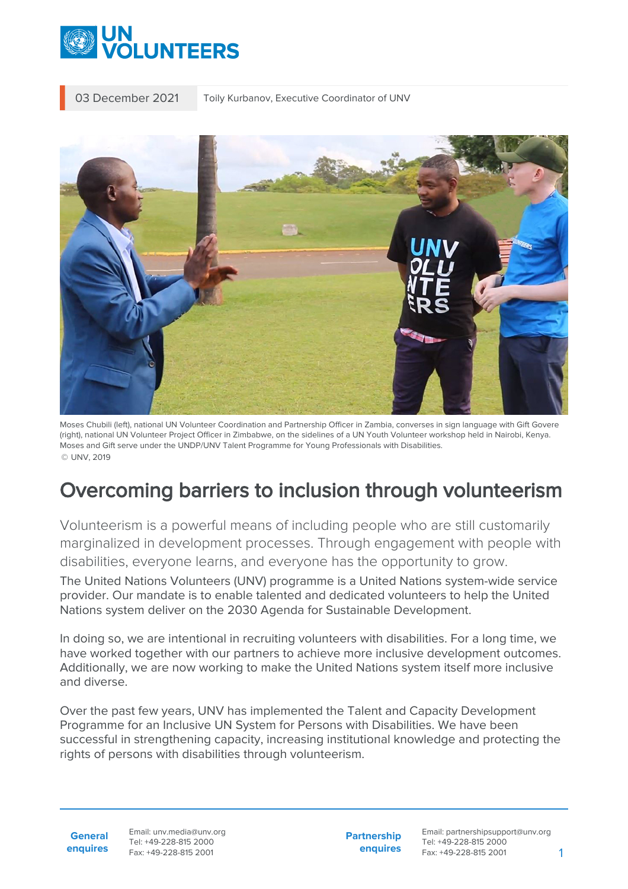

03 December 2021 Toily Kurbanov, Executive Coordinator of UNV



Moses Chubili (left), national UN Volunteer Coordination and Partnership Officer in Zambia, converses in sign language with Gift Govere (right), national UN Volunteer Project Officer in Zimbabwe, on the sidelines of a UN Youth Volunteer workshop held in Nairobi, Kenya. Moses and Gift serve under the UNDP/UNV Talent Programme for Young Professionals with Disabilities. © UNV, 2019

## Overcoming barriers to inclusion through volunteerism

Volunteerism is a powerful means of including people who are still customarily marginalized in development processes. Through engagement with people with disabilities, everyone learns, and everyone has the opportunity to grow.

The United Nations Volunteers (UNV) programme is a United Nations system-wide service provider. Our mandate is to enable talented and dedicated volunteers to help the United Nations system deliver on the 2030 Agenda for Sustainable Development.

In doing so, we are intentional in recruiting volunteers with disabilities. For a long time, we have worked together with our partners to achieve more inclusive development outcomes. Additionally, we are now working to make the United Nations system itself more inclusive and diverse.

Over the past few years, UNV has implemented the Talent and Capacity Development Programme for an Inclusive UN System for Persons with Disabilities. We have been successful in strengthening capacity, increasing institutional knowledge and protecting the rights of persons with disabilities through volunteerism.

**General enquires**

Email: unv.media@unv.org Tel: +49-228-815 2000 Fax: +49-228-815 2001

**Partnership enquires**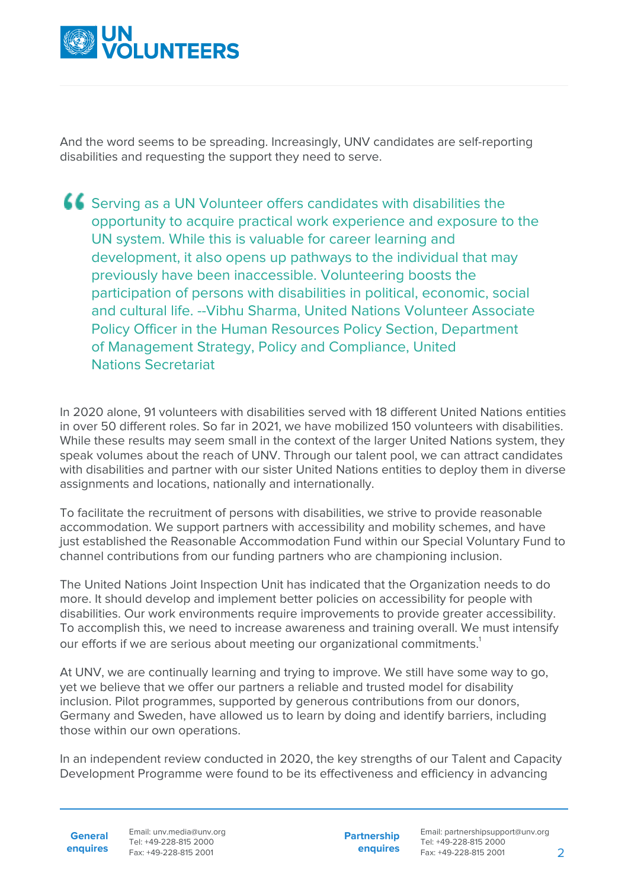

And the word seems to be spreading. Increasingly, UNV candidates are self-reporting disabilities and requesting the support they need to serve.

Serving as a UN Volunteer offers candidates with disabilities the opportunity to acquire practical work experience and exposure to the UN system. While this is valuable for career learning and development, it also opens up pathways to the individual that may previously have been inaccessible. Volunteering boosts the participation of persons with disabilities in political, economic, social and cultural life. --Vibhu Sharma, United Nations Volunteer Associate Policy Officer in the Human Resources Policy Section, Department of Management Strategy, Policy and Compliance, United Nations Secretariat

In 2020 alone, 91 volunteers with disabilities served with 18 different United Nations entities in over 50 different roles. So far in 2021, we have mobilized 150 volunteers with disabilities. While these results may seem small in the context of the larger United Nations system, they speak volumes about the reach of UNV. Through our talent pool, we can attract candidates with disabilities and partner with our sister United Nations entities to deploy them in diverse assignments and locations, nationally and internationally.

To facilitate the recruitment of persons with disabilities, we strive to provide reasonable accommodation. We support partners with accessibility and mobility schemes, and have just established the Reasonable Accommodation Fund within our Special Voluntary Fund to channel contributions from our funding partners who are championing inclusion.

The United Nations Joint Inspection Unit has indicated that the Organization needs to do more. It should develop and implement better policies on accessibility for people with disabilities. Our work environments require improvements to provide greater accessibility. To accomplish this, we need to increase awareness and training overall. We must intensify our efforts if we are serious about meeting our organizational commitments.<sup>1</sup>

At UNV, we are continually learning and trying to improve. We still have some way to go, yet we believe that we offer our partners a reliable and trusted model for disability inclusion. Pilot programmes, supported by generous contributions from our donors, Germany and Sweden, have allowed us to learn by doing and identify barriers, including those within our own operations.

In an independent review conducted in 2020, the key strengths of our Talent and Capacity Development Programme were found to be its effectiveness and efficiency in advancing

**General**

**enquires** Fax: +49-228-815 2001 Email: unv.media@unv.org Tel: +49-228-815 2000

**Partnership enquires**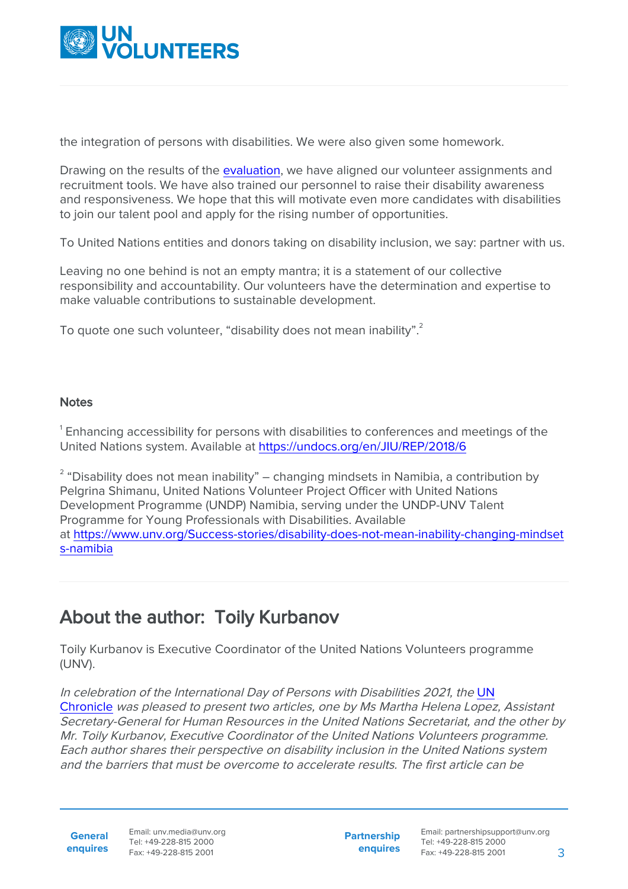

the integration of persons with disabilities. We were also given some homework.

Drawing on the results of the [evaluation](https://erc.undp.org/evaluation/units/260), we have aligned our volunteer assignments and recruitment tools. We have also trained our personnel to raise their disability awareness and responsiveness. We hope that this will motivate even more candidates with disabilities to join our talent pool and apply for the rising number of opportunities.

To United Nations entities and donors taking on disability inclusion, we say: partner with us.

Leaving no one behind is not an empty mantra; it is a statement of our collective responsibility and accountability. Our volunteers have the determination and expertise to make valuable contributions to sustainable development.

To quote one such volunteer, "disability does not mean inability".

## Notes

 $^{\rm 1}$  Enhancing accessibility for persons with disabilities to conferences and meetings of the United Nations system. Available at [https://undocs.org/en/JIU/REP/2018/6](#page--1-0)

 $^{\text{2}}$  "Disability does not mean inability" – changing mindsets in Namibia, a contribution by Pelgrina Shimanu, United Nations Volunteer Project Officer with United Nations Development Programme (UNDP) Namibia, serving under the UNDP-UNV Talent Programme for Young Professionals with Disabilities. Available at [https://www.unv.org/Success-stories/disability-does-not-mean-inability-changing-mindset](https://www.unv.org/Success-stories/disability-does-not-mean-inability-changing-mindsets-namibia) [s-namibia](https://www.unv.org/Success-stories/disability-does-not-mean-inability-changing-mindsets-namibia)

## About the author: Toily Kurbanov

Toily Kurbanov is Executive Coordinator of the United Nations Volunteers programme (UNV).

In celebration of the International Day of Persons with Disabilities 2021, the [UN](https://www.un.org/en/chronicle) [Chronicle](https://www.un.org/en/chronicle) was pleased to present two articles, one by Ms Martha Helena Lopez, Assistant Secretary-General for Human Resources in the United Nations Secretariat, and the other by Mr. Toily Kurbanov, Executive Coordinator of the United Nations Volunteers programme. Each author shares their perspective on disability inclusion in the United Nations system and the barriers that must be overcome to accelerate results. The first article can be

**General**

**enquires** Fax: +49-228-815 2001 Email: unv.media@unv.org Tel: +49-228-815 2000

**Partnership enquires**